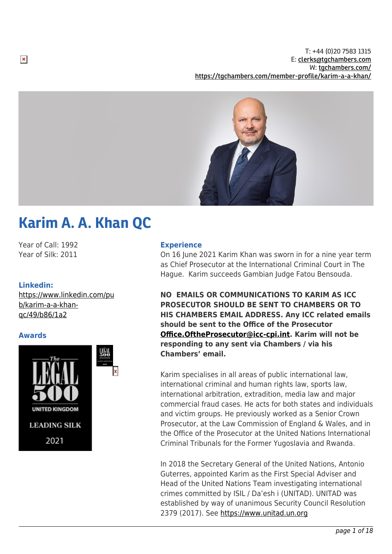T: +44 (0)20 7583 1315 E: [clerks@tgchambers.com](mailto:clerks@tgchambers.com) W: [tgchambers.com/](http://tgchambers.com/) <https://tgchambers.com/member-profile/karim-a-a-khan/>



# Karim A. A. Khan QC

Year of Call: 1992 Year of Silk: 2011

# **Linkedin:**

[https://www.linkedin.com/pu](https://www.linkedin.com/pub/karim-a-a-khan-qc/49/b86/1a2) [b/karim-a-a-khan](https://www.linkedin.com/pub/karim-a-a-khan-qc/49/b86/1a2)[qc/49/b86/1a2](https://www.linkedin.com/pub/karim-a-a-khan-qc/49/b86/1a2)

# **Awards**



#### **Experience**

On 16 June 2021 Karim Khan was sworn in for a nine year term as Chief Prosecutor at the International Criminal Court in The Hague. Karim succeeds Gambian Judge Fatou Bensouda.

**NO EMAILS OR COMMUNICATIONS TO KARIM AS ICC PROSECUTOR SHOULD BE SENT TO CHAMBERS OR TO HIS CHAMBERS EMAIL ADDRESS. Any ICC related emails should be sent to the Office of the Prosecutor [Office.OftheProsecutor@icc-cpi.int](mailto:Office.OftheProsecutor@icc-cpi.int). Karim will not be responding to any sent via Chambers / via his Chambers' email.**

Karim specialises in all areas of public international law, international criminal and human rights law, sports law, international arbitration, extradition, media law and major commercial fraud cases. He acts for both states and individuals and victim groups. He previously worked as a Senior Crown Prosecutor, at the Law Commission of England & Wales, and in the Office of the Prosecutor at the United Nations International Criminal Tribunals for the Former Yugoslavia and Rwanda.

In 2018 the Secretary General of the United Nations, Antonio Guterres, appointed Karim as the First Special Adviser and Head of the United Nations Team investigating international crimes committed by ISIL / Da'esh i (UNITAD). UNITAD was established by way of unanimous Security Council Resolution 2379 (2017). See <https://www.unitad.un.org>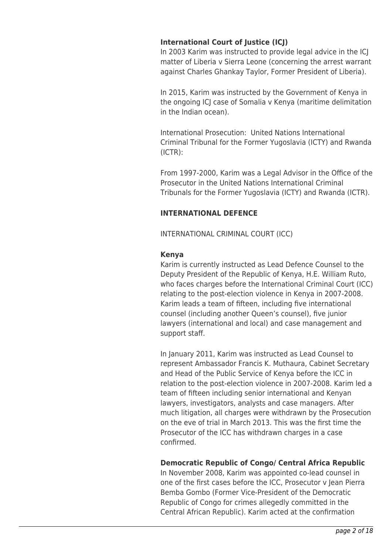# **International Court of Justice (ICJ)**

In 2003 Karim was instructed to provide legal advice in the ICJ matter of Liberia v Sierra Leone (concerning the arrest warrant against Charles Ghankay Taylor, Former President of Liberia).

In 2015, Karim was instructed by the Government of Kenya in the ongoing ICJ case of Somalia v Kenya (maritime delimitation in the Indian ocean).

International Prosecution: United Nations International Criminal Tribunal for the Former Yugoslavia (ICTY) and Rwanda (ICTR):

From 1997-2000, Karim was a Legal Advisor in the Office of the Prosecutor in the United Nations International Criminal Tribunals for the Former Yugoslavia (ICTY) and Rwanda (ICTR).

# **INTERNATIONAL DEFENCE**

INTERNATIONAL CRIMINAL COURT (ICC)

# **Kenya**

Karim is currently instructed as Lead Defence Counsel to the Deputy President of the Republic of Kenya, H.E. William Ruto, who faces charges before the International Criminal Court (ICC) relating to the post-election violence in Kenya in 2007-2008. Karim leads a team of fifteen, including five international counsel (including another Queen's counsel), five junior lawyers (international and local) and case management and support staff.

In January 2011, Karim was instructed as Lead Counsel to represent Ambassador Francis K. Muthaura, Cabinet Secretary and Head of the Public Service of Kenya before the ICC in relation to the post-election violence in 2007-2008. Karim led a team of fifteen including senior international and Kenyan lawyers, investigators, analysts and case managers. After much litigation, all charges were withdrawn by the Prosecution on the eve of trial in March 2013. This was the first time the Prosecutor of the ICC has withdrawn charges in a case confirmed.

# **Democratic Republic of Congo/ Central Africa Republic**

In November 2008, Karim was appointed co-lead counsel in one of the first cases before the ICC, Prosecutor v Jean Pierra Bemba Gombo (Former Vice-President of the Democratic Republic of Congo for crimes allegedly committed in the Central African Republic). Karim acted at the confirmation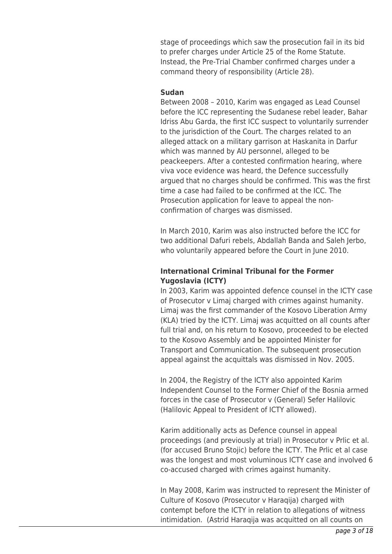stage of proceedings which saw the prosecution fail in its bid to prefer charges under Article 25 of the Rome Statute. Instead, the Pre-Trial Chamber confirmed charges under a command theory of responsibility (Article 28).

#### **Sudan**

Between 2008 – 2010, Karim was engaged as Lead Counsel before the ICC representing the Sudanese rebel leader, Bahar Idriss Abu Garda, the first ICC suspect to voluntarily surrender to the jurisdiction of the Court. The charges related to an alleged attack on a military garrison at Haskanita in Darfur which was manned by AU personnel, alleged to be peackeepers. After a contested confirmation hearing, where viva voce evidence was heard, the Defence successfully argued that no charges should be confirmed. This was the first time a case had failed to be confirmed at the ICC. The Prosecution application for leave to appeal the nonconfirmation of charges was dismissed.

In March 2010, Karim was also instructed before the ICC for two additional Dafuri rebels, Abdallah Banda and Saleh Jerbo, who voluntarily appeared before the Court in June 2010.

# **International Criminal Tribunal for the Former Yugoslavia (ICTY)**

In 2003, Karim was appointed defence counsel in the ICTY case of Prosecutor v Limaj charged with crimes against humanity. Limaj was the first commander of the Kosovo Liberation Army (KLA) tried by the ICTY. Limaj was acquitted on all counts after full trial and, on his return to Kosovo, proceeded to be elected to the Kosovo Assembly and be appointed Minister for Transport and Communication. The subsequent prosecution appeal against the acquittals was dismissed in Nov. 2005.

In 2004, the Registry of the ICTY also appointed Karim Independent Counsel to the Former Chief of the Bosnia armed forces in the case of Prosecutor v (General) Sefer Halilovic (Halilovic Appeal to President of ICTY allowed).

Karim additionally acts as Defence counsel in appeal proceedings (and previously at trial) in Prosecutor v Prlic et al. (for accused Bruno Stojic) before the ICTY. The Prlic et al case was the longest and most voluminous ICTY case and involved 6 co-accused charged with crimes against humanity.

In May 2008, Karim was instructed to represent the Minister of Culture of Kosovo (Prosecutor v Haraqija) charged with contempt before the ICTY in relation to allegations of witness intimidation. (Astrid Haraqija was acquitted on all counts on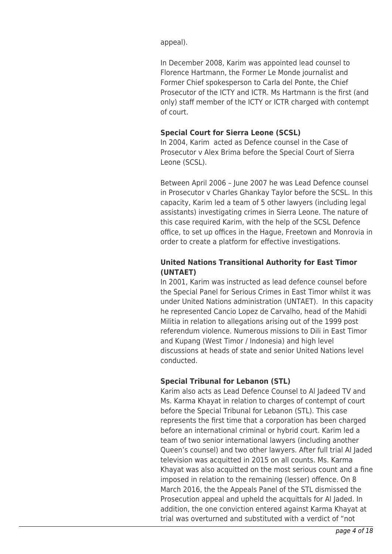appeal).

In December 2008, Karim was appointed lead counsel to Florence Hartmann, the Former Le Monde journalist and Former Chief spokesperson to Carla del Ponte, the Chief Prosecutor of the ICTY and ICTR. Ms Hartmann is the first (and only) staff member of the ICTY or ICTR charged with contempt of court.

# **Special Court for Sierra Leone (SCSL)**

In 2004, Karim acted as Defence counsel in the Case of Prosecutor v Alex Brima before the Special Court of Sierra Leone (SCSL).

Between April 2006 – June 2007 he was Lead Defence counsel in Prosecutor v Charles Ghankay Taylor before the SCSL. In this capacity, Karim led a team of 5 other lawyers (including legal assistants) investigating crimes in Sierra Leone. The nature of this case required Karim, with the help of the SCSL Defence office, to set up offices in the Hague, Freetown and Monrovia in order to create a platform for effective investigations.

# **United Nations Transitional Authority for East Timor (UNTAET)**

In 2001, Karim was instructed as lead defence counsel before the Special Panel for Serious Crimes in East Timor whilst it was under United Nations administration (UNTAET). In this capacity he represented Cancio Lopez de Carvalho, head of the Mahidi Militia in relation to allegations arising out of the 1999 post referendum violence. Numerous missions to Dili in East Timor and Kupang (West Timor / Indonesia) and high level discussions at heads of state and senior United Nations level conducted.

# **Special Tribunal for Lebanon (STL)**

Karim also acts as Lead Defence Counsel to Al Jadeed TV and Ms. Karma Khayat in relation to charges of contempt of court before the Special Tribunal for Lebanon (STL). This case represents the first time that a corporation has been charged before an international criminal or hybrid court. Karim led a team of two senior international lawyers (including another Queen's counsel) and two other lawyers. After full trial Al Jaded television was acquitted in 2015 on all counts. Ms. Karma Khayat was also acquitted on the most serious count and a fine imposed in relation to the remaining (lesser) offence. On 8 March 2016, the the Appeals Panel of the STL dismissed the Prosecution appeal and upheld the acquittals for Al Jaded. In addition, the one conviction entered against Karma Khayat at trial was overturned and substituted with a verdict of "not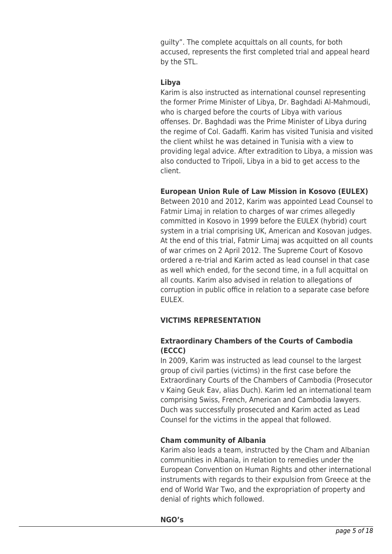guilty". The complete acquittals on all counts, for both accused, represents the first completed trial and appeal heard by the STL.

# **Libya**

Karim is also instructed as international counsel representing the former Prime Minister of Libya, Dr. Baghdadi Al-Mahmoudi, who is charged before the courts of Libya with various offenses. Dr. Baghdadi was the Prime Minister of Libya during the regime of Col. Gadaffi. Karim has visited Tunisia and visited the client whilst he was detained in Tunisia with a view to providing legal advice. After extradition to Libya, a mission was also conducted to Tripoli, Libya in a bid to get access to the client.

# **European Union Rule of Law Mission in Kosovo (EULEX)**

Between 2010 and 2012, Karim was appointed Lead Counsel to Fatmir Limaj in relation to charges of war crimes allegedly committed in Kosovo in 1999 before the EULEX (hybrid) court system in a trial comprising UK, American and Kosovan judges. At the end of this trial, Fatmir Limaj was acquitted on all counts of war crimes on 2 April 2012. The Supreme Court of Kosovo ordered a re-trial and Karim acted as lead counsel in that case as well which ended, for the second time, in a full acquittal on all counts. Karim also advised in relation to allegations of corruption in public office in relation to a separate case before EULEX.

# **VICTIMS REPRESENTATION**

# **Extraordinary Chambers of the Courts of Cambodia (ECCC)**

In 2009, Karim was instructed as lead counsel to the largest group of civil parties (victims) in the first case before the Extraordinary Courts of the Chambers of Cambodia (Prosecutor v Kaing Geuk Eav, alias Duch). Karim led an international team comprising Swiss, French, American and Cambodia lawyers. Duch was successfully prosecuted and Karim acted as Lead Counsel for the victims in the appeal that followed.

# **Cham community of Albania**

Karim also leads a team, instructed by the Cham and Albanian communities in Albania, in relation to remedies under the European Convention on Human Rights and other international instruments with regards to their expulsion from Greece at the end of World War Two, and the expropriation of property and denial of rights which followed.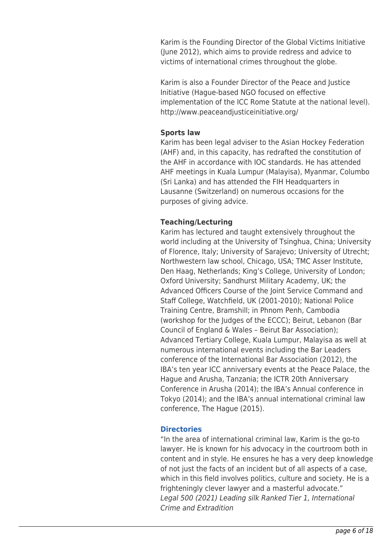Karim is the Founding Director of the Global Victims Initiative (June 2012), which aims to provide redress and advice to victims of international crimes throughout the globe.

Karim is also a Founder Director of the Peace and Justice Initiative (Hague-based NGO focused on effective implementation of the ICC Rome Statute at the national level). http://www.peaceandjusticeinitiative.org/

# **Sports law**

Karim has been legal adviser to the Asian Hockey Federation (AHF) and, in this capacity, has redrafted the constitution of the AHF in accordance with IOC standards. He has attended AHF meetings in Kuala Lumpur (Malayisa), Myanmar, Columbo (Sri Lanka) and has attended the FIH Headquarters in Lausanne (Switzerland) on numerous occasions for the purposes of giving advice.

### **Teaching/Lecturing**

Karim has lectured and taught extensively throughout the world including at the University of Tsinghua, China; University of Florence, Italy; University of Sarajevo; University of Utrecht; Northwestern law school, Chicago, USA; TMC Asser Institute, Den Haag, Netherlands; King's College, University of London; Oxford University; Sandhurst Military Academy, UK; the Advanced Officers Course of the Joint Service Command and Staff College, Watchfield, UK (2001-2010); National Police Training Centre, Bramshill; in Phnom Penh, Cambodia (workshop for the Judges of the ECCC); Beirut, Lebanon (Bar Council of England & Wales – Beirut Bar Association); Advanced Tertiary College, Kuala Lumpur, Malayisa as well at numerous international events including the Bar Leaders conference of the International Bar Association (2012), the IBA's ten year ICC anniversary events at the Peace Palace, the Hague and Arusha, Tanzania; the ICTR 20th Anniversary Conference in Arusha (2014); the IBA's Annual conference in Tokyo (2014); and the IBA's annual international criminal law conference, The Hague (2015).

#### **Directories**

"In the area of international criminal law, Karim is the go-to lawyer. He is known for his advocacy in the courtroom both in content and in style. He ensures he has a very deep knowledge of not just the facts of an incident but of all aspects of a case, which in this field involves politics, culture and society. He is a frighteningly clever lawyer and a masterful advocate." Legal 500 (2021) Leading silk Ranked Tier 1, International Crime and Extradition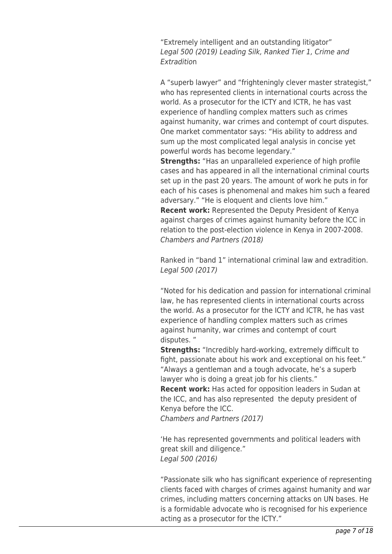"Extremely intelligent and an outstanding litigator" Legal 500 (2019) Leading Silk, Ranked Tier 1, Crime and Extradition

A "superb lawyer" and "frighteningly clever master strategist," who has represented clients in international courts across the world. As a prosecutor for the ICTY and ICTR, he has vast experience of handling complex matters such as crimes against humanity, war crimes and contempt of court disputes. One market commentator says: "His ability to address and sum up the most complicated legal analysis in concise yet powerful words has become legendary."

**Strengths:** "Has an unparalleled experience of high profile cases and has appeared in all the international criminal courts set up in the past 20 years. The amount of work he puts in for each of his cases is phenomenal and makes him such a feared adversary." "He is eloquent and clients love him."

**Recent work:** Represented the Deputy President of Kenya against charges of crimes against humanity before the ICC in relation to the post-election violence in Kenya in 2007-2008. Chambers and Partners (2018)

Ranked in "band 1" international criminal law and extradition. Legal 500 (2017)

"Noted for his dedication and passion for international criminal law, he has represented clients in international courts across the world. As a prosecutor for the ICTY and ICTR, he has vast experience of handling complex matters such as crimes against humanity, war crimes and contempt of court disputes. "

**Strengths:** "Incredibly hard-working, extremely difficult to fight, passionate about his work and exceptional on his feet." "Always a gentleman and a tough advocate, he's a superb lawyer who is doing a great job for his clients."

**Recent work:** Has acted for opposition leaders in Sudan at the ICC, and has also represented the deputy president of Kenya before the ICC.

Chambers and Partners (2017)

'He has represented governments and political leaders with great skill and diligence." Legal 500 (2016)

"Passionate silk who has significant experience of representing clients faced with charges of crimes against humanity and war crimes, including matters concerning attacks on UN bases. He is a formidable advocate who is recognised for his experience acting as a prosecutor for the ICTY."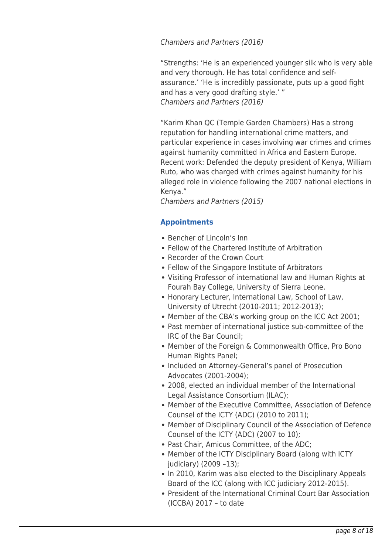Chambers and Partners (2016)

"Strengths: 'He is an experienced younger silk who is very able and very thorough. He has total confidence and selfassurance.' 'He is incredibly passionate, puts up a good fight and has a very good drafting style.' " Chambers and Partners (2016)

"Karim Khan QC (Temple Garden Chambers) Has a strong reputation for handling international crime matters, and particular experience in cases involving war crimes and crimes against humanity committed in Africa and Eastern Europe. Recent work: Defended the deputy president of Kenya, William Ruto, who was charged with crimes against humanity for his alleged role in violence following the 2007 national elections in Kenya."

Chambers and Partners (2015)

# **Appointments**

- Bencher of Lincoln's Inn
- Fellow of the Chartered Institute of Arbitration
- Recorder of the Crown Court
- Fellow of the Singapore Institute of Arbitrators
- Visiting Professor of international law and Human Rights at Fourah Bay College, University of Sierra Leone.
- Honorary Lecturer, International Law, School of Law, University of Utrecht (2010-2011; 2012-2013);
- Member of the CBA's working group on the ICC Act 2001;
- Past member of international justice sub-committee of the IRC of the Bar Council;
- Member of the Foreign & Commonwealth Office, Pro Bono Human Rights Panel;
- Included on Attorney-General's panel of Prosecution Advocates (2001-2004);
- 2008, elected an individual member of the International Legal Assistance Consortium (ILAC);
- Member of the Executive Committee, Association of Defence Counsel of the ICTY (ADC) (2010 to 2011);
- Member of Disciplinary Council of the Association of Defence Counsel of the ICTY (ADC) (2007 to 10);
- Past Chair, Amicus Committee, of the ADC;
- Member of the ICTY Disciplinary Board (along with ICTY judiciary) (2009 –13);
- In 2010, Karim was also elected to the Disciplinary Appeals Board of the ICC (along with ICC judiciary 2012-2015).
- President of the International Criminal Court Bar Association (ICCBA) 2017 – to date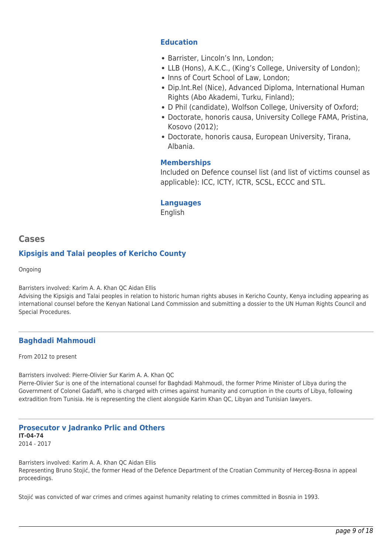# **Education**

- Barrister, Lincoln's Inn, London;
- LLB (Hons), A.K.C., (King's College, University of London);
- Inns of Court School of Law, London;
- Dip.Int.Rel (Nice), Advanced Diploma, International Human Rights (Abo Akademi, Turku, Finland);
- D Phil (candidate), Wolfson College, University of Oxford;
- Doctorate, honoris causa, University College FAMA, Pristina, Kosovo (2012);
- Doctorate, honoris causa, European University, Tirana, Albania.

# **Memberships**

Included on Defence counsel list (and list of victims counsel as applicable): ICC, ICTY, ICTR, SCSL, ECCC and STL.

# **Languages**

English

# **Cases**

# **Kipsigis and Talai peoples of Kericho County**

Ongoing

Barristers involved: Karim A. A. Khan QC Aidan Ellis

Advising the Kipsigis and Talai peoples in relation to historic human rights abuses in Kericho County, Kenya including appearing as international counsel before the Kenyan National Land Commission and submitting a dossier to the UN Human Rights Council and Special Procedures.

# **Baghdadi Mahmoudi**

From 2012 to present

Barristers involved: Pierre-Olivier Sur Karim A. A. Khan QC Pierre-Olivier Sur is one of the international counsel for Baghdadi Mahmoudi, the former Prime Minister of Libya during the Government of Colonel Gadaffi, who is charged with crimes against humanity and corruption in the courts of Libya, following extradition from Tunisia. He is representing the client alongside Karim Khan QC, Libyan and Tunisian lawyers.

**Prosecutor v Jadranko Prlic and Others IT-04-74** 2014 - 2017

Barristers involved: Karim A. A. Khan QC Aidan Ellis Representing Bruno Stojić, the former Head of the Defence Department of the Croatian Community of Herceg-Bosna in appeal proceedings.

Stojić was convicted of war crimes and crimes against humanity relating to crimes committed in Bosnia in 1993.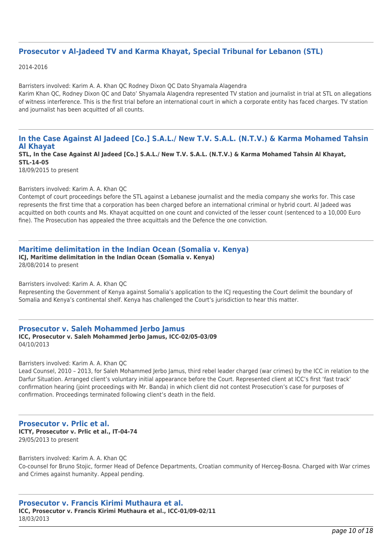#### **Prosecutor v Al-Jadeed TV and Karma Khayat, Special Tribunal for Lebanon (STL)**

2014-2016

Barristers involved: Karim A. A. Khan QC Rodney Dixon QC Dato Shyamala Alagendra Karim Khan QC, Rodney Dixon QC and Dato' Shyamala Alagendra represented TV station and journalist in trial at STL on allegations of witness interference. This is the first trial before an international court in which a corporate entity has faced charges. TV station and journalist has been acquitted of all counts.

# **In the Case Against Al Jadeed [Co.] S.A.L./ New T.V. S.A.L. (N.T.V.) & Karma Mohamed Tahsin Al Khayat**

**STL, In the Case Against Al Jadeed [Co.] S.A.L./ New T.V. S.A.L. (N.T.V.) & Karma Mohamed Tahsin Al Khayat, STL-14-05**

18/09/2015 to present

#### Barristers involved: Karim A. A. Khan QC

Contempt of court proceedings before the STL against a Lebanese journalist and the media company she works for. This case represents the first time that a corporation has been charged before an international criminal or hybrid court. Al Jadeed was acquitted on both counts and Ms. Khayat acquitted on one count and convicted of the lesser count (sentenced to a 10,000 Euro fine). The Prosecution has appealed the three acquittals and the Defence the one conviction.

#### **Maritime delimitation in the Indian Ocean (Somalia v. Kenya)**

**ICJ, Maritime delimitation in the Indian Ocean (Somalia v. Kenya)** 28/08/2014 to present

Barristers involved: Karim A. A. Khan QC

Representing the Government of Kenya against Somalia's application to the ICJ requesting the Court delimit the boundary of Somalia and Kenya's continental shelf. Kenya has challenged the Court's jurisdiction to hear this matter.

# **Prosecutor v. Saleh Mohammed Jerbo Jamus**

**ICC, Prosecutor v. Saleh Mohammed Jerbo Jamus, ICC-02/05-03/09** 04/10/2013

Barristers involved: Karim A. A. Khan QC

Lead Counsel, 2010 - 2013, for Saleh Mohammed Jerbo Jamus, third rebel leader charged (war crimes) by the ICC in relation to the Darfur Situation. Arranged client's voluntary initial appearance before the Court. Represented client at ICC's first 'fast track' confirmation hearing (joint proceedings with Mr. Banda) in which client did not contest Prosecution's case for purposes of confirmation. Proceedings terminated following client's death in the field.

#### **Prosecutor v. Prlic et al. ICTY, Prosecutor v. Prlic et al., IT-04-74** 29/05/2013 to present

Barristers involved: Karim A. A. Khan QC Co-counsel for Bruno Stojic, former Head of Defence Departments, Croatian community of Herceg-Bosna. Charged with War crimes and Crimes against humanity. Appeal pending.

**Prosecutor v. Francis Kirimi Muthaura et al. ICC, Prosecutor v. Francis Kirimi Muthaura et al., ICC-01/09-02/11** 18/03/2013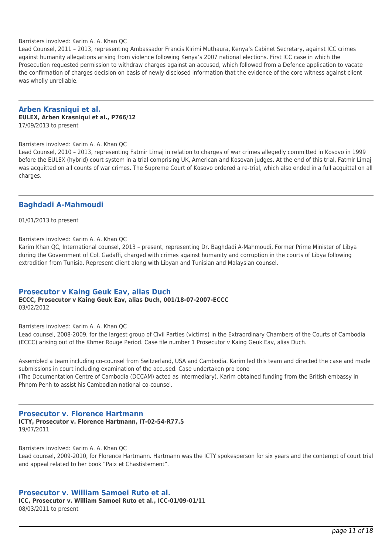Barristers involved: Karim A. A. Khan QC

Lead Counsel, 2011 – 2013, representing Ambassador Francis Kirimi Muthaura, Kenya's Cabinet Secretary, against ICC crimes against humanity allegations arising from violence following Kenya's 2007 national elections. First ICC case in which the Prosecution requested permission to withdraw charges against an accused, which followed from a Defence application to vacate the confirmation of charges decision on basis of newly disclosed information that the evidence of the core witness against client was wholly unreliable.

# **Arben Krasniqui et al.**

#### **EULEX, Arben Krasniqui et al., P766/12**

17/09/2013 to present

Barristers involved: Karim A. A. Khan QC

Lead Counsel, 2010 – 2013, representing Fatmir Limaj in relation to charges of war crimes allegedly committed in Kosovo in 1999 before the EULEX (hybrid) court system in a trial comprising UK, American and Kosovan judges. At the end of this trial, Fatmir Limaj was acquitted on all counts of war crimes. The Supreme Court of Kosovo ordered a re-trial, which also ended in a full acquittal on all charges.

#### **Baghdadi A-Mahmoudi**

01/01/2013 to present

Barristers involved: Karim A. A. Khan QC

Karim Khan QC, International counsel, 2013 – present, representing Dr. Baghdadi A-Mahmoudi, Former Prime Minister of Libya during the Government of Col. Gadaffi, charged with crimes against humanity and corruption in the courts of Libya following extradition from Tunisia. Represent client along with Libyan and Tunisian and Malaysian counsel.

#### **Prosecutor v Kaing Geuk Eav, alias Duch**

#### **ECCC, Prosecutor v Kaing Geuk Eav, alias Duch, 001/18-07-2007-ECCC** 03/02/2012

Barristers involved: Karim A. A. Khan QC

Lead counsel, 2008-2009, for the largest group of Civil Parties (victims) in the Extraordinary Chambers of the Courts of Cambodia (ECCC) arising out of the Khmer Rouge Period. Case file number 1 Prosecutor v Kaing Geuk Eav, alias Duch.

Assembled a team including co-counsel from Switzerland, USA and Cambodia. Karim led this team and directed the case and made submissions in court including examination of the accused. Case undertaken pro bono (The Documentation Centre of Cambodia (DCCAM) acted as intermediary). Karim obtained funding from the British embassy in Phnom Penh to assist his Cambodian national co-counsel.

#### **Prosecutor v. Florence Hartmann**

**ICTY, Prosecutor v. Florence Hartmann, IT-02-54-R77.5** 19/07/2011

Barristers involved: Karim A. A. Khan QC Lead counsel, 2009-2010, for Florence Hartmann. Hartmann was the ICTY spokesperson for six years and the contempt of court trial and appeal related to her book "Paix et Chastistement".

# **Prosecutor v. William Samoei Ruto et al.**

**ICC, Prosecutor v. William Samoei Ruto et al., ICC-01/09-01/11** 08/03/2011 to present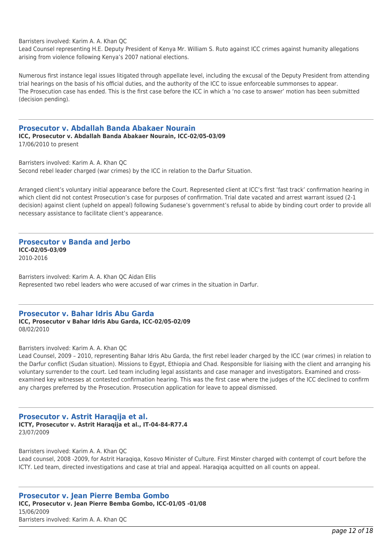Barristers involved: Karim A. A. Khan QC

Lead Counsel representing H.E. Deputy President of Kenya Mr. William S. Ruto against ICC crimes against humanity allegations arising from violence following Kenya's 2007 national elections.

Numerous first instance legal issues litigated through appellate level, including the excusal of the Deputy President from attending trial hearings on the basis of his official duties, and the authority of the ICC to issue enforceable summonses to appear. The Prosecution case has ended. This is the first case before the ICC in which a 'no case to answer' motion has been submitted (decision pending).

#### **Prosecutor v. Abdallah Banda Abakaer Nourain**

**ICC, Prosecutor v. Abdallah Banda Abakaer Nourain, ICC-02/05-03/09** 17/06/2010 to present

Barristers involved: Karim A. A. Khan QC Second rebel leader charged (war crimes) by the ICC in relation to the Darfur Situation.

Arranged client's voluntary initial appearance before the Court. Represented client at ICC's first 'fast track' confirmation hearing in which client did not contest Prosecution's case for purposes of confirmation. Trial date vacated and arrest warrant issued (2-1 decision) against client (upheld on appeal) following Sudanese's government's refusal to abide by binding court order to provide all necessary assistance to facilitate client's appearance.

#### **Prosecutor v Banda and Jerbo ICC-02/05-03/09** 2010-2016

Barristers involved: Karim A. A. Khan QC Aidan Ellis Represented two rebel leaders who were accused of war crimes in the situation in Darfur.

#### **Prosecutor v. Bahar Idris Abu Garda**

**ICC, Prosecutor v Bahar Idris Abu Garda, ICC-02/05-02/09** 08/02/2010

Barristers involved: Karim A. A. Khan QC

Lead Counsel, 2009 – 2010, representing Bahar Idris Abu Garda, the first rebel leader charged by the ICC (war crimes) in relation to the Darfur conflict (Sudan situation). Missions to Egypt, Ethiopia and Chad. Responsible for liaising with the client and arranging his voluntary surrender to the court. Led team including legal assistants and case manager and investigators. Examined and crossexamined key witnesses at contested confirmation hearing. This was the first case where the judges of the ICC declined to confirm any charges preferred by the Prosecution. Prosecution application for leave to appeal dismissed.

#### **Prosecutor v. Astrit Haraqija et al. ICTY, Prosecutor v. Astrit Haraqija et al., IT-04-84-R77.4** 23/07/2009

Barristers involved: Karim A. A. Khan QC

Lead counsel, 2008 -2009, for Astrit Haraqiqa, Kosovo Minister of Culture. First Minster charged with contempt of court before the ICTY. Led team, directed investigations and case at trial and appeal. Haraqiqa acquitted on all counts on appeal.

**Prosecutor v. Jean Pierre Bemba Gombo ICC, Prosecutor v. Jean Pierre Bemba Gombo, ICC-01/05 -01/08** 15/06/2009 Barristers involved: Karim A. A. Khan QC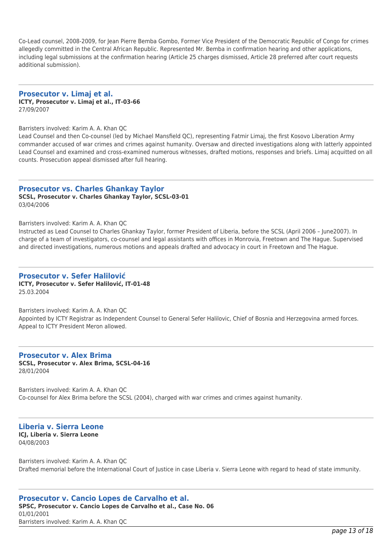Co-Lead counsel, 2008-2009, for Jean Pierre Bemba Gombo, Former Vice President of the Democratic Republic of Congo for crimes allegedly committed in the Central African Republic. Represented Mr. Bemba in confirmation hearing and other applications, including legal submissions at the confirmation hearing (Article 25 charges dismissed, Article 28 preferred after court requests additional submission).

**Prosecutor v. Limaj et al. ICTY, Prosecutor v. Limaj et al., IT-03-66** 27/09/2007

#### Barristers involved: Karim A. A. Khan QC

Lead Counsel and then Co-counsel (led by Michael Mansfield QC), representing Fatmir Limaj, the first Kosovo Liberation Army commander accused of war crimes and crimes against humanity. Oversaw and directed investigations along with latterly appointed Lead Counsel and examined and cross-examined numerous witnesses, drafted motions, responses and briefs. Limaj acquitted on all counts. Prosecution appeal dismissed after full hearing.

#### **Prosecutor vs. Charles Ghankay Taylor**

**SCSL, Prosecutor v. Charles Ghankay Taylor, SCSL-03-01** 03/04/2006

#### Barristers involved: Karim A. A. Khan QC

Instructed as Lead Counsel to Charles Ghankay Taylor, former President of Liberia, before the SCSL (April 2006 – June2007). In charge of a team of investigators, co-counsel and legal assistants with offices in Monrovia, Freetown and The Hague. Supervised and directed investigations, numerous motions and appeals drafted and advocacy in court in Freetown and The Hague.

#### **Prosecutor v. Sefer Halilović**

**ICTY, Prosecutor v. Sefer Halilović, IT-01-48** 25.03.2004

Barristers involved: Karim A. A. Khan QC Appointed by ICTY Registrar as Independent Counsel to General Sefer Halilovic, Chief of Bosnia and Herzegovina armed forces. Appeal to ICTY President Meron allowed.

#### **Prosecutor v. Alex Brima SCSL, Prosecutor v. Alex Brima, SCSL-04-16** 28/01/2004

Barristers involved: Karim A. A. Khan QC Co-counsel for Alex Brima before the SCSL (2004), charged with war crimes and crimes against humanity.

#### **Liberia v. Sierra Leone ICJ, Liberia v. Sierra Leone**

04/08/2003

Barristers involved: Karim A. A. Khan QC Drafted memorial before the International Court of Justice in case Liberia v. Sierra Leone with regard to head of state immunity.

**Prosecutor v. Cancio Lopes de Carvalho et al. SPSC, Prosecutor v. Cancio Lopes de Carvalho et al., Case No. 06** 01/01/2001 Barristers involved: Karim A. A. Khan QC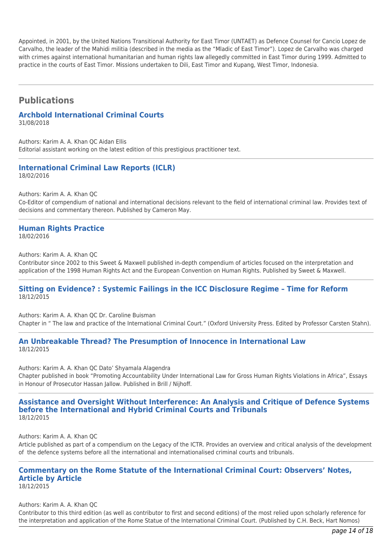Appointed, in 2001, by the United Nations Transitional Authority for East Timor (UNTAET) as Defence Counsel for Cancio Lopez de Carvalho, the leader of the Mahidi militia (described in the media as the "Mladic of East Timor"). Lopez de Carvalho was charged with crimes against international humanitarian and human rights law allegedly committed in East Timor during 1999. Admitted to practice in the courts of East Timor. Missions undertaken to Dili, East Timor and Kupang, West Timor, Indonesia.

# **Publications**

# **Archbold International Criminal Courts**

31/08/2018

Authors: Karim A. A. Khan QC Aidan Ellis Editorial assistant working on the latest edition of this prestigious practitioner text.

#### **International Criminal Law Reports (ICLR)** 18/02/2016

Authors: Karim A. A. Khan QC

Co-Editor of compendium of national and international decisions relevant to the field of international criminal law. Provides text of decisions and commentary thereon. Published by Cameron May.

# **Human Rights Practice**

18/02/2016

Authors: Karim A. A. Khan QC

Contributor since 2002 to this Sweet & Maxwell published in-depth compendium of articles focused on the interpretation and application of the 1998 Human Rights Act and the European Convention on Human Rights. Published by Sweet & Maxwell.

#### **Sitting on Evidence? : Systemic Failings in the ICC Disclosure Regime – Time for Reform** 18/12/2015

Authors: Karim A. A. Khan QC Dr. Caroline Buisman Chapter in " The law and practice of the International Criminal Court." (Oxford University Press. Edited by Professor Carsten Stahn).

#### **An Unbreakable Thread? The Presumption of Innocence in International Law** 18/12/2015

Authors: Karim A. A. Khan QC Dato' Shyamala Alagendra

Chapter published in book "Promoting Accountability Under International Law for Gross Human Rights Violations in Africa", Essays in Honour of Prosecutor Hassan Jallow. Published in Brill / Nijhoff.

#### **Assistance and Oversight Without Interference: An Analysis and Critique of Defence Systems before the International and Hybrid Criminal Courts and Tribunals** 18/12/2015

Authors: Karim A. A. Khan QC

Article published as part of a compendium on the Legacy of the ICTR. Provides an overview and critical analysis of the development of the defence systems before all the international and internationalised criminal courts and tribunals.

# **Commentary on the Rome Statute of the International Criminal Court: Observers' Notes, Article by Article**

18/12/2015

Authors: Karim A. A. Khan QC

Contributor to this third edition (as well as contributor to first and second editions) of the most relied upon scholarly reference for the interpretation and application of the Rome Statue of the International Criminal Court. (Published by C.H. Beck, Hart Nomos)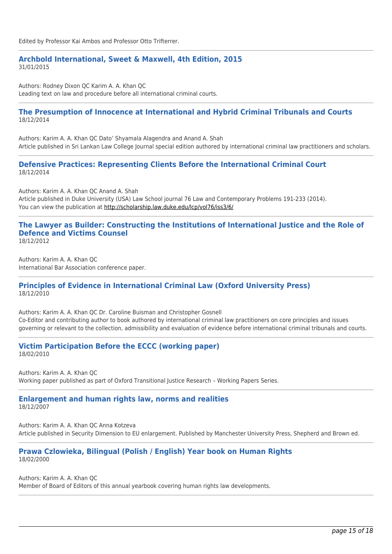#### **Archbold International, Sweet & Maxwell, 4th Edition, 2015** 31/01/2015

Authors: Rodney Dixon QC Karim A. A. Khan QC Leading text on law and procedure before all international criminal courts.

#### **The Presumption of Innocence at International and Hybrid Criminal Tribunals and Courts** 18/12/2014

Authors: Karim A. A. Khan QC Dato' Shyamala Alagendra and Anand A. Shah Article published in Sri Lankan Law College Journal special edition authored by international criminal law practitioners and scholars.

#### **Defensive Practices: Representing Clients Before the International Criminal Court** 18/12/2014

Authors: Karim A. A. Khan QC Anand A. Shah Article published in Duke University (USA) Law School journal 76 Law and Contemporary Problems 191-233 (2014). You can view the publication at<http://scholarship.law.duke.edu/lcp/vol76/iss3/6/>

#### **The Lawyer as Builder: Constructing the Institutions of International Justice and the Role of Defence and Victims Counsel** 18/12/2012

Authors: Karim A. A. Khan QC International Bar Association conference paper.

#### **Principles of Evidence in International Criminal Law (Oxford University Press)** 18/12/2010

Authors: Karim A. A. Khan QC Dr. Caroline Buisman and Christopher Gosnell Co-Editor and contributing author to book authored by international criminal law practitioners on core principles and issues governing or relevant to the collection, admissibility and evaluation of evidence before international criminal tribunals and courts.

#### **Victim Participation Before the ECCC (working paper)** 18/02/2010

Authors: Karim A. A. Khan QC Working paper published as part of Oxford Transitional Justice Research – Working Papers Series.

#### **Enlargement and human rights law, norms and realities** 18/12/2007

Authors: Karim A. A. Khan QC Anna Kotzeva Article published in Security Dimension to EU enlargement. Published by Manchester University Press, Shepherd and Brown ed.

#### **Prawa Czlowieka, Bilingual (Polish / English) Year book on Human Rights** 18/02/2000

Authors: Karim A. A. Khan QC

Member of Board of Editors of this annual yearbook covering human rights law developments.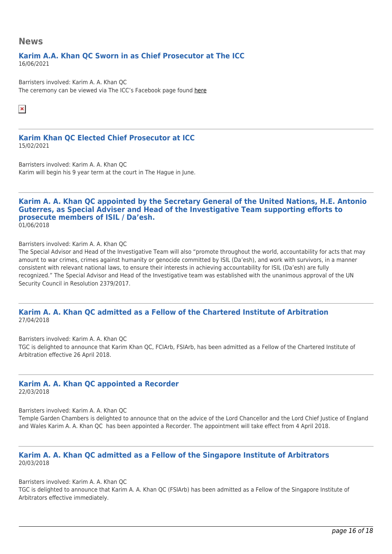#### **News**

#### **Karim A.A. Khan QC Sworn in as Chief Prosecutor at The ICC** 16/06/2021

Barristers involved: Karim A. A. Khan QC The ceremony can be viewed via The ICC's Facebook page found [here](https://www.facebook.com/InternationalCriminalCourt/videos/526962005286809)

 $\pmb{\times}$ 

#### **Karim Khan QC Elected Chief Prosecutor at ICC** 15/02/2021

Barristers involved: Karim A. A. Khan QC Karim will begin his 9 year term at the court in The Hague in June.

#### **Karim A. A. Khan QC appointed by the Secretary General of the United Nations, H.E. Antonio Guterres, as Special Adviser and Head of the Investigative Team supporting efforts to prosecute members of ISIL / Da'esh.** 01/06/2018

Barristers involved: Karim A. A. Khan QC

The Special Advisor and Head of the Investigative Team will also "promote throughout the world, accountability for acts that may amount to war crimes, crimes against humanity or genocide committed by ISIL (Da'esh), and work with survivors, in a manner consistent with relevant national laws, to ensure their interests in achieving accountability for ISIL (Da'esh) are fully recognized." The Special Advisor and Head of the Investigative team was established with the unanimous approval of the UN Security Council in Resolution 2379/2017.

#### **Karim A. A. Khan QC admitted as a Fellow of the Chartered Institute of Arbitration** 27/04/2018

Barristers involved: Karim A. A. Khan QC TGC is delighted to announce that Karim Khan QC, FCIArb, FSIArb, has been admitted as a Fellow of the Chartered Institute of Arbitration effective 26 April 2018.

#### **Karim A. A. Khan QC appointed a Recorder** 22/03/2018

Barristers involved: Karim A. A. Khan QC

Temple Garden Chambers is delighted to announce that on the advice of the Lord Chancellor and the Lord Chief Justice of England and Wales Karim A. A. Khan QC has been appointed a Recorder. The appointment will take effect from 4 April 2018.

#### **Karim A. A. Khan QC admitted as a Fellow of the Singapore Institute of Arbitrators** 20/03/2018

Barristers involved: Karim A. A. Khan QC TGC is delighted to announce that Karim A. A. Khan QC (FSIArb) has been admitted as a Fellow of the Singapore Institute of Arbitrators effective immediately.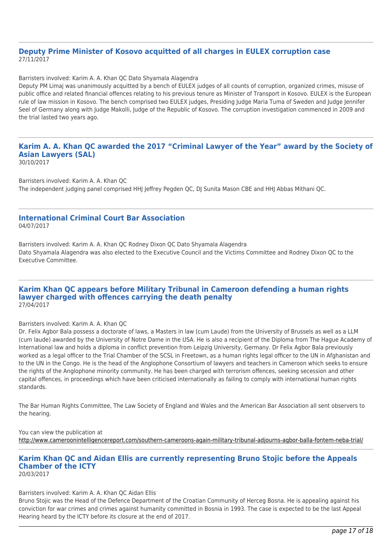#### **Deputy Prime Minister of Kosovo acquitted of all charges in EULEX corruption case** 27/11/2017

Barristers involved: Karim A. A. Khan QC Dato Shyamala Alagendra

Deputy PM Limaj was unanimously acquitted by a bench of EULEX judges of all counts of corruption, organized crimes, misuse of public office and related financial offences relating to his previous tenure as Minister of Transport in Kosovo. EULEX is the European rule of law mission in Kosovo. The bench comprised two EULEX judges, Presiding Judge Maria Tuma of Sweden and Judge Jennifer Seel of Germany along with Judge Makolli, Judge of the Republic of Kosovo. The corruption investigation commenced in 2009 and the trial lasted two years ago.

# **Karim A. A. Khan QC awarded the 2017 "Criminal Lawyer of the Year" award by the Society of Asian Lawyers (SAL)**

30/10/2017

Barristers involved: Karim A. A. Khan QC The independent judging panel comprised HHJ Jeffrey Pegden QC, DJ Sunita Mason CBE and HHJ Abbas Mithani QC.

#### **International Criminal Court Bar Association** 04/07/2017

Barristers involved: Karim A. A. Khan QC Rodney Dixon QC Dato Shyamala Alagendra Dato Shyamala Alagendra was also elected to the Executive Council and the Victims Committee and Rodney Dixon QC to the Executive Committee.

#### **Karim Khan QC appears before Military Tribunal in Cameroon defending a human rights lawyer charged with offences carrying the death penalty** 27/04/2017

#### Barristers involved: Karim A. A. Khan QC

Dr. Felix Agbor Bala possess a doctorate of laws, a Masters in law (cum Laude) from the University of Brussels as well as a LLM (cum laude) awarded by the University of Notre Dame in the USA. He is also a recipient of the Diploma from The Hague Academy of International law and holds a diploma in conflict prevention from Leipzig University, Germany. Dr Felix Agbor Bala previously worked as a legal officer to the Trial Chamber of the SCSL in Freetown, as a human rights legal officer to the UN in Afghanistan and to the UN in the Congo. He is the head of the Anglophone Consortium of lawyers and teachers in Cameroon which seeks to ensure the rights of the Anglophone minority community. He has been charged with terrorism offences, seeking secession and other capital offences, in proceedings which have been criticised internationally as failing to comply with international human rights standards.

The Bar Human Rights Committee, The Law Society of England and Wales and the American Bar Association all sent observers to the hearing.

You can view the publication at <http://www.cameroonintelligencereport.com/southern-cameroons-again-military-tribunal-adjourns-agbor-balla-fontem-neba-trial/>

#### **Karim Khan QC and Aidan Ellis are currently representing Bruno Stojic before the Appeals Chamber of the ICTY** 20/03/2017

#### Barristers involved: Karim A. A. Khan QC Aidan Ellis

Bruno Stojic was the Head of the Defence Department of the Croatian Community of Herceg Bosna. He is appealing against his conviction for war crimes and crimes against humanity committed in Bosnia in 1993. The case is expected to be the last Appeal Hearing heard by the ICTY before its closure at the end of 2017.